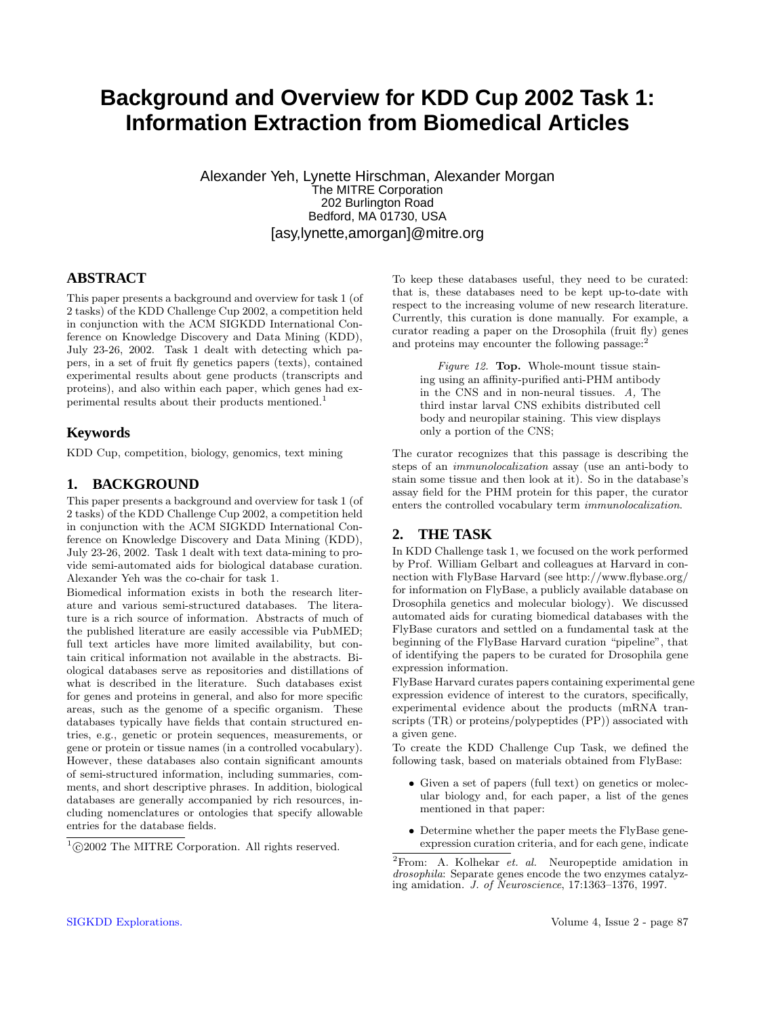# **Background and Overview for KDD Cup 2002 Task 1: Information Extraction from Biomedical Articles**

Alexander Yeh, Lynette Hirschman, Alexander Morgan The MITRE Corporation 202 Burlington Road Bedford, MA 01730, USA [asy,lynette,amorgan]@mitre.org

## **ABSTRACT**

This paper presents a background and overview for task 1 (of 2 tasks) of the KDD Challenge Cup 2002, a competition held in conjunction with the ACM SIGKDD International Conference on Knowledge Discovery and Data Mining (KDD), July 23-26, 2002. Task 1 dealt with detecting which papers, in a set of fruit fly genetics papers (texts), contained experimental results about gene products (transcripts and proteins), and also within each paper, which genes had experimental results about their products mentioned.<sup>1</sup>

# **Keywords**

KDD Cup, competition, biology, genomics, text mining

# **1. BACKGROUND**

This paper presents a background and overview for task 1 (of 2 tasks) of the KDD Challenge Cup 2002, a competition held in conjunction with the ACM SIGKDD International Conference on Knowledge Discovery and Data Mining (KDD), July 23-26, 2002. Task 1 dealt with text data-mining to provide semi-automated aids for biological database curation. Alexander Yeh was the co-chair for task 1.

Biomedical information exists in both the research literature and various semi-structured databases. The literature is a rich source of information. Abstracts of much of the published literature are easily accessible via PubMED; full text articles have more limited availability, but contain critical information not available in the abstracts. Biological databases serve as repositories and distillations of what is described in the literature. Such databases exist for genes and proteins in general, and also for more specific areas, such as the genome of a specific organism. These databases typically have fields that contain structured entries, e.g., genetic or protein sequences, measurements, or gene or protein or tissue names (in a controlled vocabulary). However, these databases also contain significant amounts of semi-structured information, including summaries, comments, and short descriptive phrases. In addition, biological databases are generally accompanied by rich resources, including nomenclatures or ontologies that specify allowable entries for the database fields.

To keep these databases useful, they need to be curated: that is, these databases need to be kept up-to-date with respect to the increasing volume of new research literature. Currently, this curation is done manually. For example, a curator reading a paper on the Drosophila (fruit fly) genes and proteins may encounter the following passage: $<sup>2</sup>$ </sup>

Figure 12. Top. Whole-mount tissue staining using an affinity-purified anti-PHM antibody in the CNS and in non-neural tissues. A, The third instar larval CNS exhibits distributed cell body and neuropilar staining. This view displays only a portion of the CNS;

The curator recognizes that this passage is describing the steps of an immunolocalization assay (use an anti-body to stain some tissue and then look at it). So in the database's assay field for the PHM protein for this paper, the curator enters the controlled vocabulary term immunolocalization.

#### **2. THE TASK**

In KDD Challenge task 1, we focused on the work performed by Prof. William Gelbart and colleagues at Harvard in connection with FlyBase Harvard (see http://www.flybase.org/ for information on FlyBase, a publicly available database on Drosophila genetics and molecular biology). We discussed automated aids for curating biomedical databases with the FlyBase curators and settled on a fundamental task at the beginning of the FlyBase Harvard curation "pipeline", that of identifying the papers to be curated for Drosophila gene expression information.

FlyBase Harvard curates papers containing experimental gene expression evidence of interest to the curators, specifically, experimental evidence about the products (mRNA transcripts (TR) or proteins/polypeptides (PP)) associated with a given gene.

To create the KDD Challenge Cup Task, we defined the following task, based on materials obtained from FlyBase:

- Given a set of papers (full text) on genetics or molecular biology and, for each paper, a list of the genes mentioned in that paper:
- Determine whether the paper meets the FlyBase geneexpression curation criteria, and for each gene, indicate

 $^{1}\textrm{C}2002$  The MITRE Corporation. All rights reserved.

 ${}^{2}$ From: A. Kolhekar et. al. Neuropeptide amidation in drosophila: Separate genes encode the two enzymes catalyzing amidation. J. of Neuroscience, 17:1363–1376, 1997.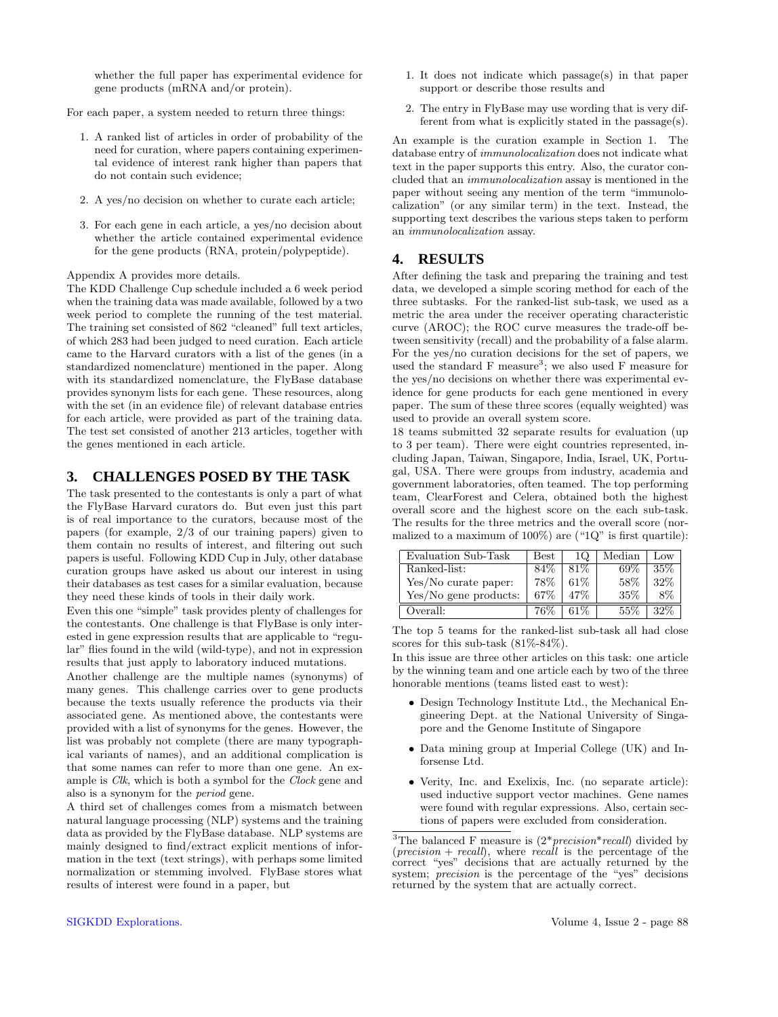whether the full paper has experimental evidence for gene products (mRNA and/or protein).

For each paper, a system needed to return three things:

- 1. A ranked list of articles in order of probability of the need for curation, where papers containing experimental evidence of interest rank higher than papers that do not contain such evidence;
- 2. A yes/no decision on whether to curate each article;
- 3. For each gene in each article, a yes/no decision about whether the article contained experimental evidence for the gene products (RNA, protein/polypeptide).

Appendix A provides more details.

The KDD Challenge Cup schedule included a 6 week period when the training data was made available, followed by a two week period to complete the running of the test material. The training set consisted of 862 "cleaned" full text articles, of which 283 had been judged to need curation. Each article came to the Harvard curators with a list of the genes (in a standardized nomenclature) mentioned in the paper. Along with its standardized nomenclature, the FlyBase database provides synonym lists for each gene. These resources, along with the set (in an evidence file) of relevant database entries for each article, were provided as part of the training data. The test set consisted of another 213 articles, together with the genes mentioned in each article.

### **3. CHALLENGES POSED BY THE TASK**

The task presented to the contestants is only a part of what the FlyBase Harvard curators do. But even just this part is of real importance to the curators, because most of the papers (for example, 2/3 of our training papers) given to them contain no results of interest, and filtering out such papers is useful. Following KDD Cup in July, other database curation groups have asked us about our interest in using their databases as test cases for a similar evaluation, because they need these kinds of tools in their daily work.

Even this one "simple" task provides plenty of challenges for the contestants. One challenge is that FlyBase is only interested in gene expression results that are applicable to "regular" flies found in the wild (wild-type), and not in expression results that just apply to laboratory induced mutations.

Another challenge are the multiple names (synonyms) of many genes. This challenge carries over to gene products because the texts usually reference the products via their associated gene. As mentioned above, the contestants were provided with a list of synonyms for the genes. However, the list was probably not complete (there are many typographical variants of names), and an additional complication is that some names can refer to more than one gene. An example is *Clk*, which is both a symbol for the *Clock* gene and also is a synonym for the period gene.

A third set of challenges comes from a mismatch between natural language processing (NLP) systems and the training data as provided by the FlyBase database. NLP systems are mainly designed to find/extract explicit mentions of information in the text (text strings), with perhaps some limited normalization or stemming involved. FlyBase stores what results of interest were found in a paper, but

- 1. It does not indicate which passage(s) in that paper support or describe those results and
- 2. The entry in FlyBase may use wording that is very different from what is explicitly stated in the passage(s).

An example is the curation example in Section 1. The database entry of immunolocalization does not indicate what text in the paper supports this entry. Also, the curator concluded that an immunolocalization assay is mentioned in the paper without seeing any mention of the term "immunolocalization" (or any similar term) in the text. Instead, the supporting text describes the various steps taken to perform an immunolocalization assay.

#### **4. RESULTS**

After defining the task and preparing the training and test data, we developed a simple scoring method for each of the three subtasks. For the ranked-list sub-task, we used as a metric the area under the receiver operating characteristic curve (AROC); the ROC curve measures the trade-off between sensitivity (recall) and the probability of a false alarm. For the yes/no curation decisions for the set of papers, we used the standard  $F$  measure<sup>3</sup>; we also used  $F$  measure for the yes/no decisions on whether there was experimental evidence for gene products for each gene mentioned in every paper. The sum of these three scores (equally weighted) was used to provide an overall system score.

18 teams submitted 32 separate results for evaluation (up to 3 per team). There were eight countries represented, including Japan, Taiwan, Singapore, India, Israel, UK, Portugal, USA. There were groups from industry, academia and government laboratories, often teamed. The top performing team, ClearForest and Celera, obtained both the highest overall score and the highest score on the each sub-task. The results for the three metrics and the overall score (normalized to a maximum of  $100\%$ ) are (" $1Q$ " is first quartile):

| Evaluation Sub-Task   | Best | 1Q     | Median | Low    |
|-----------------------|------|--------|--------|--------|
| Ranked-list:          | 84%  | $81\%$ | 69%    | $35\%$ |
| Yes/No curate paper:  | 78%  | $61\%$ | 58%    | 32%    |
| Yes/No gene products: | 67%  | $47\%$ | 35%    | 8%     |
| Overall:              | 76%  | $61\%$ | $55\%$ | $32\%$ |

The top 5 teams for the ranked-list sub-task all had close scores for this sub-task (81%-84%).

In this issue are three other articles on this task: one article by the winning team and one article each by two of the three honorable mentions (teams listed east to west):

- Design Technology Institute Ltd., the Mechanical Engineering Dept. at the National University of Singapore and the Genome Institute of Singapore
- Data mining group at Imperial College (UK) and Inforsense Ltd.
- Verity, Inc. and Exelixis, Inc. (no separate article): used inductive support vector machines. Gene names were found with regular expressions. Also, certain sections of papers were excluded from consideration.

<sup>&</sup>lt;sup>3</sup>The balanced F measure is  $(2 * precision * recall)$  divided by  $(reersion + recall)$ , where recall is the percentage of the correct "yes" decisions that are actually returned by the system; *precision* is the percentage of the "yes" decisions returned by the system that are actually correct.